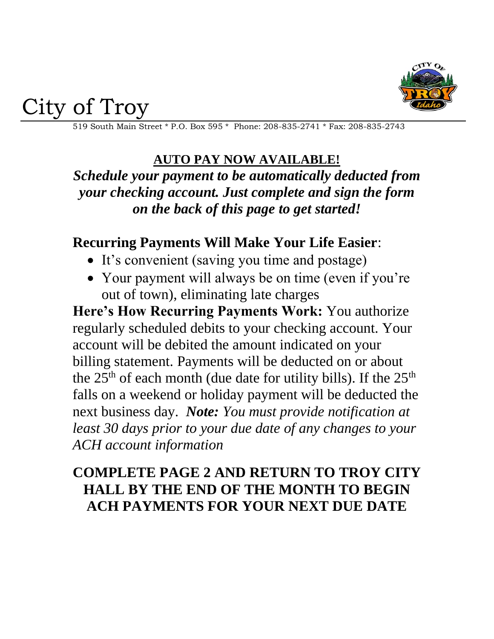

City of Troy

519 South Main Street \* P.O. Box 595 \* Phone: 208-835-2741 \* Fax: 208-835-2743

## **AUTO PAY NOW AVAILABLE!**

*Schedule your payment to be automatically deducted from your checking account. Just complete and sign the form on the back of this page to get started!*

## **Recurring Payments Will Make Your Life Easier**:

- It's convenient (saving you time and postage)
- Your payment will always be on time (even if you're out of town), eliminating late charges

**Here's How Recurring Payments Work:** You authorize regularly scheduled debits to your checking account. Your account will be debited the amount indicated on your billing statement. Payments will be deducted on or about the  $25<sup>th</sup>$  of each month (due date for utility bills). If the  $25<sup>th</sup>$ falls on a weekend or holiday payment will be deducted the next business day. *Note: You must provide notification at least 30 days prior to your due date of any changes to your ACH account information*

## **COMPLETE PAGE 2 AND RETURN TO TROY CITY HALL BY THE END OF THE MONTH TO BEGIN ACH PAYMENTS FOR YOUR NEXT DUE DATE**